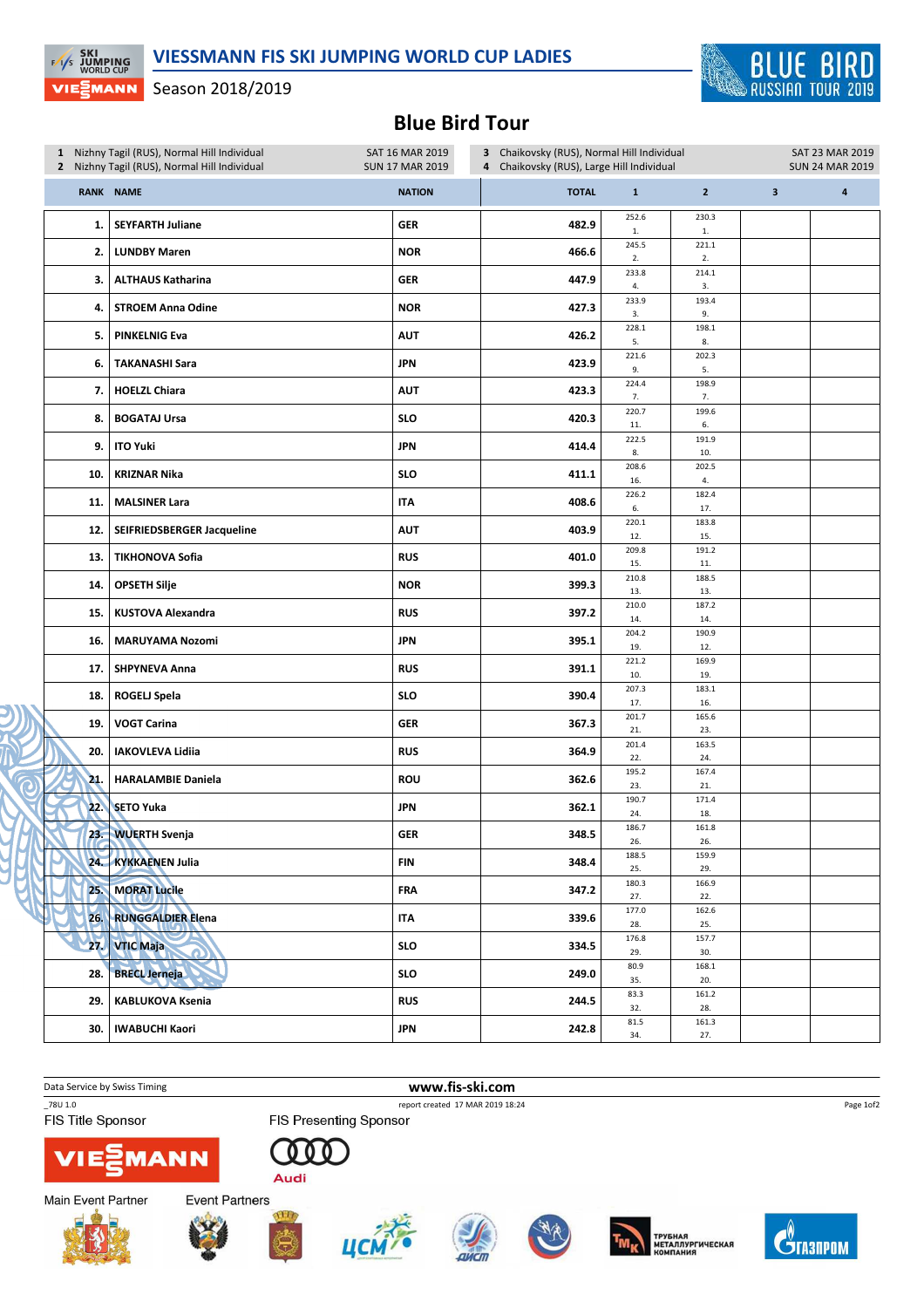

## Season 2018/2019

**EXI**<br>EXIS JUMPING VIEᢓMANN

## Blue Bird Tour

| 1 Nizhny Tagil (RUS), Normal Hill Individual<br>2 Nizhny Tagil (RUS), Normal Hill Individual |                            | SAT 16 MAR 2019<br>3 Chaikovsky (RUS), Normal Hill Individual<br><b>SUN 17 MAR 2019</b><br>4 Chaikovsky (RUS), Large Hill Individual |              |              |                     |                         | SAT 23 MAR 2019<br><b>SUN 24 MAR 2019</b> |  |
|----------------------------------------------------------------------------------------------|----------------------------|--------------------------------------------------------------------------------------------------------------------------------------|--------------|--------------|---------------------|-------------------------|-------------------------------------------|--|
|                                                                                              | <b>RANK NAME</b>           | <b>NATION</b>                                                                                                                        | <b>TOTAL</b> | $\mathbf 1$  | $\overline{2}$      | $\overline{\mathbf{3}}$ | $\overline{\mathbf{a}}$                   |  |
| 1.                                                                                           | <b>SEYFARTH Juliane</b>    | <b>GER</b>                                                                                                                           | 482.9        | 252.6<br>1.  | 230.3<br>${\bf 1}.$ |                         |                                           |  |
| 2.                                                                                           | <b>LUNDBY Maren</b>        | <b>NOR</b>                                                                                                                           | 466.6        | 245.5<br>2.  | 221.1<br>2.         |                         |                                           |  |
| 3.                                                                                           | <b>ALTHAUS Katharina</b>   | <b>GER</b>                                                                                                                           | 447.9        | 233.8<br>4.  | 214.1<br>3.         |                         |                                           |  |
| 4.                                                                                           | <b>STROEM Anna Odine</b>   | <b>NOR</b>                                                                                                                           | 427.3        | 233.9<br>3.  | 193.4<br>9.         |                         |                                           |  |
| 5.                                                                                           | <b>PINKELNIG Eva</b>       | <b>AUT</b>                                                                                                                           | 426.2        | 228.1<br>5.  | 198.1<br>8.         |                         |                                           |  |
| 6.                                                                                           | <b>TAKANASHI Sara</b>      | <b>JPN</b>                                                                                                                           | 423.9        | 221.6<br>9.  | 202.3<br>5.         |                         |                                           |  |
| 7.                                                                                           | <b>HOELZL Chiara</b>       | <b>AUT</b>                                                                                                                           | 423.3        | 224.4<br>7.  | 198.9<br>7.         |                         |                                           |  |
| 8.                                                                                           | <b>BOGATAJ Ursa</b>        | <b>SLO</b>                                                                                                                           | 420.3        | 220.7<br>11. | 199.6<br>6.         |                         |                                           |  |
| 9.                                                                                           | <b>ITO Yuki</b>            | <b>JPN</b>                                                                                                                           | 414.4        | 222.5<br>8.  | 191.9<br>10.        |                         |                                           |  |
| 10.                                                                                          | <b>KRIZNAR Nika</b>        | <b>SLO</b>                                                                                                                           | 411.1        | 208.6<br>16. | 202.5<br>4.         |                         |                                           |  |
| 11.                                                                                          | <b>MALSINER Lara</b>       | <b>ITA</b>                                                                                                                           | 408.6        | 226.2<br>6.  | 182.4<br>17.        |                         |                                           |  |
| 12.                                                                                          | SEIFRIEDSBERGER Jacqueline | <b>AUT</b>                                                                                                                           | 403.9        | 220.1<br>12. | 183.8<br>15.        |                         |                                           |  |
| 13.                                                                                          | <b>TIKHONOVA Sofia</b>     | <b>RUS</b>                                                                                                                           | 401.0        | 209.8<br>15. | 191.2<br>11.        |                         |                                           |  |
| 14.                                                                                          | <b>OPSETH Silje</b>        | <b>NOR</b>                                                                                                                           | 399.3        | 210.8<br>13. | 188.5<br>13.        |                         |                                           |  |
| 15.                                                                                          | <b>KUSTOVA Alexandra</b>   | <b>RUS</b>                                                                                                                           | 397.2        | 210.0<br>14. | 187.2<br>14.        |                         |                                           |  |
| 16.                                                                                          | <b>MARUYAMA Nozomi</b>     | <b>JPN</b>                                                                                                                           | 395.1        | 204.2<br>19. | 190.9<br>12.        |                         |                                           |  |
| 17.                                                                                          | <b>SHPYNEVA Anna</b>       | <b>RUS</b>                                                                                                                           | 391.1        | 221.2<br>10. | 169.9<br>19.        |                         |                                           |  |
| 18.                                                                                          | <b>ROGELJ Spela</b>        | <b>SLO</b>                                                                                                                           | 390.4        | 207.3<br>17. | 183.1<br>16.        |                         |                                           |  |
| 19.                                                                                          | <b>VOGT Carina</b>         | <b>GER</b>                                                                                                                           | 367.3        | 201.7<br>21. | 165.6<br>23.        |                         |                                           |  |
| 20.                                                                                          | <b>IAKOVLEVA Lidiia</b>    | <b>RUS</b>                                                                                                                           | 364.9        | 201.4<br>22. | 163.5<br>24.        |                         |                                           |  |
| 21.                                                                                          | <b>HARALAMBIE Daniela</b>  | <b>ROU</b>                                                                                                                           | 362.6        | 195.2<br>23. | 167.4<br>21.        |                         |                                           |  |
| 22.                                                                                          | <b>SETO Yuka</b>           | JPN                                                                                                                                  | 362.1        | 190.7<br>24. | 171.4<br>18.        |                         |                                           |  |
|                                                                                              | 23. WUERTH Svenja          | <b>GER</b>                                                                                                                           | 348.5        | 186.7<br>26. | 161.8<br>26.        |                         |                                           |  |
| 24.                                                                                          | <b>KYKKAENEN Julia</b>     | FIN                                                                                                                                  | 348.4        | 188.5<br>25. | 159.9<br>29.        |                         |                                           |  |
| 25.                                                                                          | <b>MORAT Lucile</b>        | <b>FRA</b>                                                                                                                           | 347.2        | 180.3<br>27. | 166.9<br>22.        |                         |                                           |  |
| 26.                                                                                          | <b>RUNGGALDIER Elena</b>   | ITA                                                                                                                                  | 339.6        | 177.0<br>28. | 162.6<br>25.        |                         |                                           |  |
| 27.                                                                                          | <b>VTIC Maja</b>           | <b>SLO</b>                                                                                                                           | 334.5        | 176.8<br>29. | 157.7<br>30.        |                         |                                           |  |
| 28.                                                                                          | <b>BRECL Jerneja</b>       | <b>SLO</b>                                                                                                                           | 249.0        | 80.9<br>35.  | 168.1<br>20.        |                         |                                           |  |
| 29.                                                                                          | <b>KABLUKOVA Ksenia</b>    | <b>RUS</b>                                                                                                                           | 244.5        | 83.3<br>32.  | 161.2<br>28.        |                         |                                           |  |
| 30.                                                                                          | <b>IWABUCHI Kaori</b>      | <b>JPN</b>                                                                                                                           | 242.8        | 81.5<br>34.  | 161.3<br>27.        |                         |                                           |  |

Data Service by Swiss Timing **www.fis-ski.com** 

FIS Title Sponsor

\_78U 1.0 report created 17 MAR 2019 18:24 **FIS Presenting Sponsor** 



000 Audi







**Event Partners** 











 $\mathbf{C}^{\!\!\left( \!\!\left( \delta \right) \!\!\right)}$  rasilpom